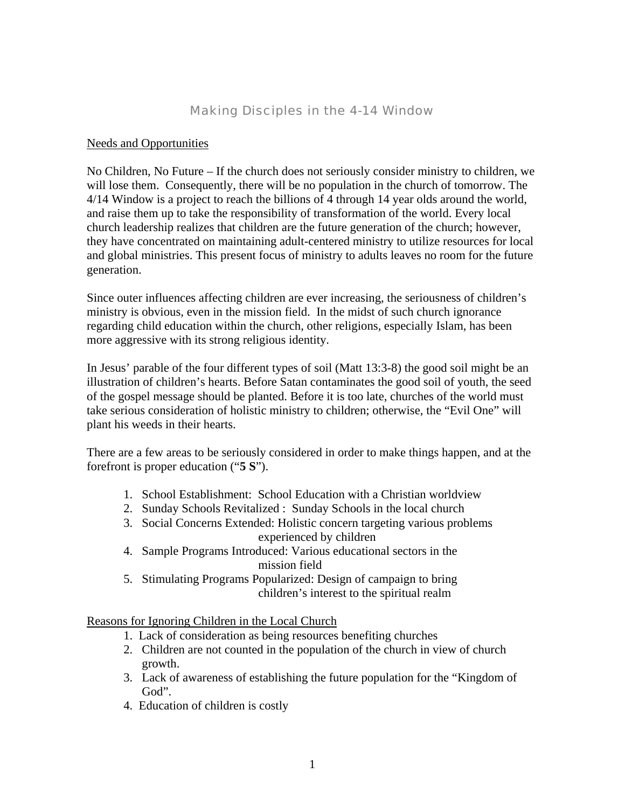# *Making Disciples in the 4-14 Window*

#### Needs and Opportunities

No Children, No Future – If the church does not seriously consider ministry to children, we will lose them. Consequently, there will be no population in the church of tomorrow. The 4/14 Window is a project to reach the billions of 4 through 14 year olds around the world, and raise them up to take the responsibility of transformation of the world. Every local church leadership realizes that children are the future generation of the church; however, they have concentrated on maintaining adult-centered ministry to utilize resources for local and global ministries. This present focus of ministry to adults leaves no room for the future generation.

Since outer influences affecting children are ever increasing, the seriousness of children's ministry is obvious, even in the mission field. In the midst of such church ignorance regarding child education within the church, other religions, especially Islam, has been more aggressive with its strong religious identity.

In Jesus' parable of the four different types of soil (Matt 13:3-8) the good soil might be an illustration of children's hearts. Before Satan contaminates the good soil of youth, the seed of the gospel message should be planted. Before it is too late, churches of the world must take serious consideration of holistic ministry to children; otherwise, the "Evil One" will plant his weeds in their hearts.

There are a few areas to be seriously considered in order to make things happen, and at the forefront is proper education ("**5 S**").

- 1. School Establishment: School Education with a Christian worldview
- 2. Sunday Schools Revitalized : Sunday Schools in the local church
- 3. Social Concerns Extended: Holistic concern targeting various problems experienced by children
- 4. Sample Programs Introduced: Various educational sectors in the mission field
- 5. Stimulating Programs Popularized: Design of campaign to bring children's interest to the spiritual realm

#### Reasons for Ignoring Children in the Local Church

- 1. Lack of consideration as being resources benefiting churches
- 2. Children are not counted in the population of the church in view of church growth.
- 3. Lack of awareness of establishing the future population for the "Kingdom of God".
- 4. Education of children is costly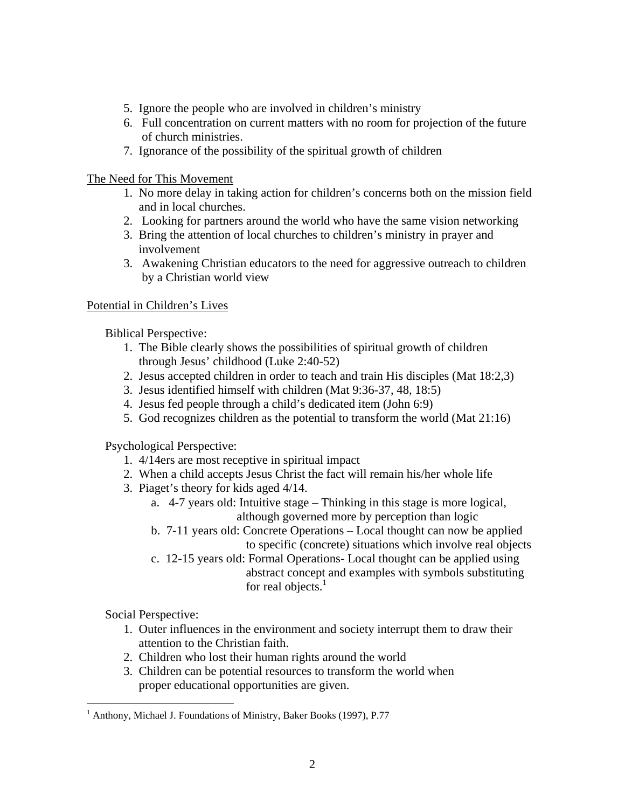- 5. Ignore the people who are involved in children's ministry
- 6. Full concentration on current matters with no room for projection of the future of church ministries.
- 7. Ignorance of the possibility of the spiritual growth of children

# The Need for This Movement

- 1. No more delay in taking action for children's concerns both on the mission field and in local churches.
- 2. Looking for partners around the world who have the same vision networking
- 3. Bring the attention of local churches to children's ministry in prayer and involvement
- 3. Awakening Christian educators to the need for aggressive outreach to children by a Christian world view

# Potential in Children's Lives

Biblical Perspective:

- 1. The Bible clearly shows the possibilities of spiritual growth of children through Jesus' childhood (Luke 2:40-52)
- 2. Jesus accepted children in order to teach and train His disciples (Mat 18:2,3)
- 3. Jesus identified himself with children (Mat 9:36-37, 48, 18:5)
- 4. Jesus fed people through a child's dedicated item (John 6:9)
- 5. God recognizes children as the potential to transform the world (Mat 21:16)

Psychological Perspective:

- 1. 4/14ers are most receptive in spiritual impact
- 2. When a child accepts Jesus Christ the fact will remain his/her whole life
- 3. Piaget's theory for kids aged 4/14.
	- a. 4-7 years old: Intuitive stage Thinking in this stage is more logical, although governed more by perception than logic
	- b. 7-11 years old: Concrete Operations Local thought can now be applied to specific (concrete) situations which involve real objects
	- c. 12-15 years old: Formal Operations- Local thought can be applied using abstract concept and examples with symbols substituting for real objects.<sup>1</sup>

Social Perspective:

1

- 1. Outer influences in the environment and society interrupt them to draw their attention to the Christian faith.
- 2. Children who lost their human rights around the world
- 3. Children can be potential resources to transform the world when proper educational opportunities are given.

<sup>&</sup>lt;sup>1</sup> Anthony, Michael J. Foundations of Ministry, Baker Books (1997), P.77